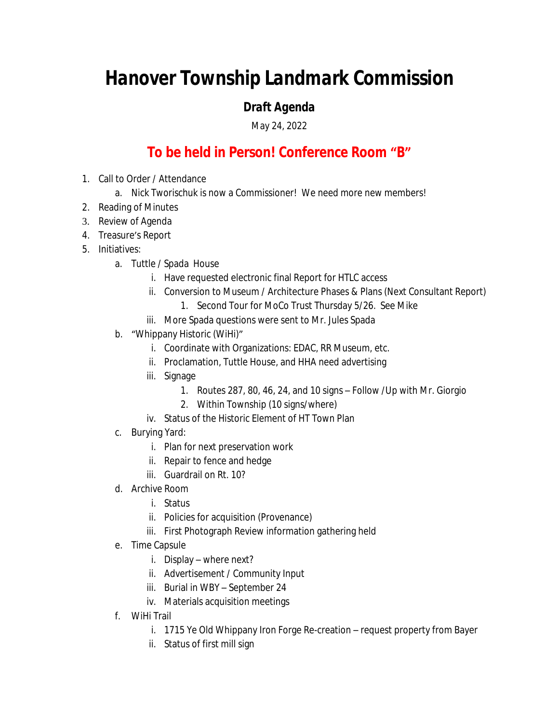## *Hanover Township Landmark Commission*

## *Draft Agenda*

May 24, 2022

## **To be held in Person! Conference Room "B"**

- 1. Call to Order / Attendance
	- a. Nick Tworischuk is now a Commissioner! We need more new members!
- 2. Reading of Minutes
- 3. Review of Agenda
- 4. Treasure's Report
- 5. Initiatives:
	- a. Tuttle / Spada House
		- i. Have requested electronic final Report for HTLC access
		- ii. Conversion to Museum / Architecture Phases & Plans (Next Consultant Report)
			- 1. Second Tour for MoCo Trust Thursday 5/26. See Mike
		- iii. More Spada questions were sent to Mr. Jules Spada
	- b. "Whippany Historic (WiHi)"
		- i. Coordinate with Organizations: EDAC, RR Museum, etc.
		- ii. Proclamation, Tuttle House, and HHA need advertising
		- iii. Signage
			- 1. Routes 287, 80, 46, 24, and 10 signs Follow /Up with Mr. Giorgio
			- 2. Within Township (10 signs/where)
		- iv. Status of the Historic Element of HT Town Plan
	- c. Burying Yard:
		- i. Plan for next preservation work
		- ii. Repair to fence and hedge
		- iii. Guardrail on Rt. 10?
	- d. Archive Room
		- i. Status
		- ii. Policies for acquisition (Provenance)
		- iii. First Photograph Review information gathering held
	- e. Time Capsule
		- i. Display where next?
		- ii. Advertisement / Community Input
		- iii. Burial in WBY September 24
		- iv. Materials acquisition meetings
	- f. WiHi Trail
		- i. 1715 Ye Old Whippany Iron Forge Re-creation request property from Bayer
		- ii. Status of first mill sign